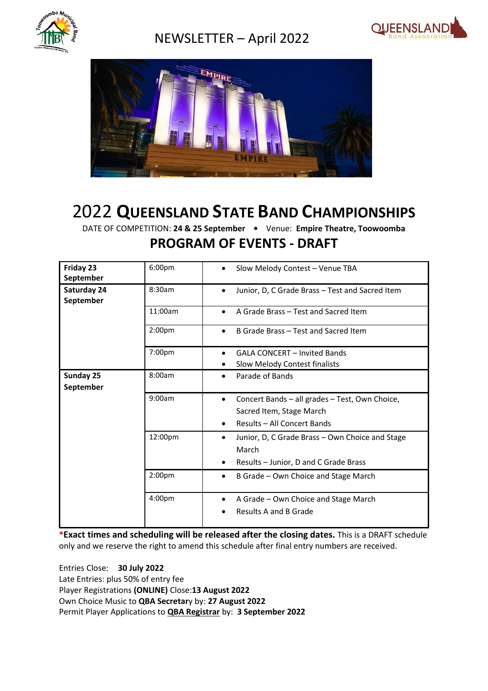

## NEWSLETTER – April 2022





# 2022 **QUEENSLAND STATE BAND CHAMPIONSHIPS**

DATE OF COMPETITION: **24 & 25 September •** Venue: **Empire Theatre, Toowoomba PROGRAM OF EVENTS - DRAFT**

| Friday 23<br>September   | 6:00pm             | Slow Melody Contest - Venue TBA<br>$\bullet$                                                                           |
|--------------------------|--------------------|------------------------------------------------------------------------------------------------------------------------|
| Saturday 24<br>September | 8:30am             | Junior, D, C Grade Brass - Test and Sacred Item<br>$\bullet$                                                           |
|                          | 11:00am            | A Grade Brass - Test and Sacred Item<br>$\bullet$                                                                      |
|                          | 2:00 <sub>pm</sub> | B Grade Brass - Test and Sacred Item                                                                                   |
|                          | 7:00pm             | <b>GALA CONCERT - Invited Bands</b><br>Slow Melody Contest finalists                                                   |
| Sunday 25<br>September   | 8:00am             | Parade of Bands<br>$\bullet$                                                                                           |
|                          | 9:00am             | Concert Bands - all grades - Test, Own Choice,<br>$\bullet$<br>Sacred Item, Stage March<br>Results - All Concert Bands |
|                          | 12:00pm            | Junior, D, C Grade Brass - Own Choice and Stage<br>٠<br>March<br>Results - Junior, D and C Grade Brass<br>$\bullet$    |
|                          | 2:00 <sub>pm</sub> | B Grade - Own Choice and Stage March<br>٠                                                                              |
|                          | 4:00pm             | A Grade - Own Choice and Stage March<br>$\bullet$<br>Results A and B Grade                                             |

**\*Exact times and scheduling will be released after the closing dates.** This is a DRAFT schedule only and we reserve the right to amend this schedule after final entry numbers are received.

Entries Close: **30 July 2022** Late Entries: plus 50% of entry fee Player Registrations **(ONLINE)** Close:**13 August 2022** Own Choice Music to **QBA Secretar**y by: **27 August 2022** Permit Player Applications to **QBA Registrar** by: **3 September 2022**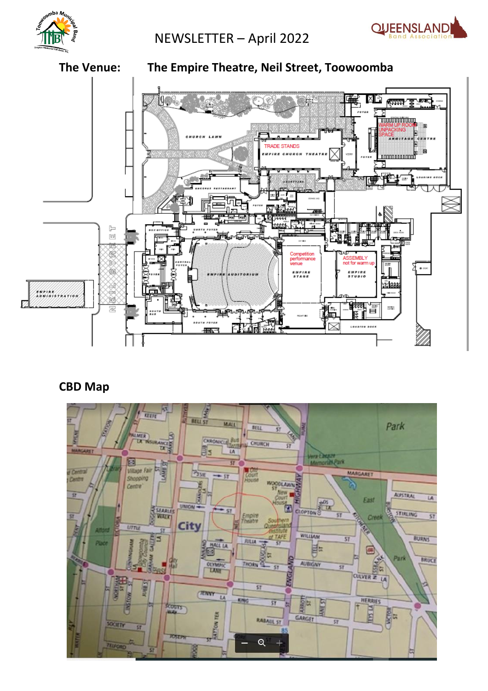

NEWSLETTER – April 2022





### **CBD Map**